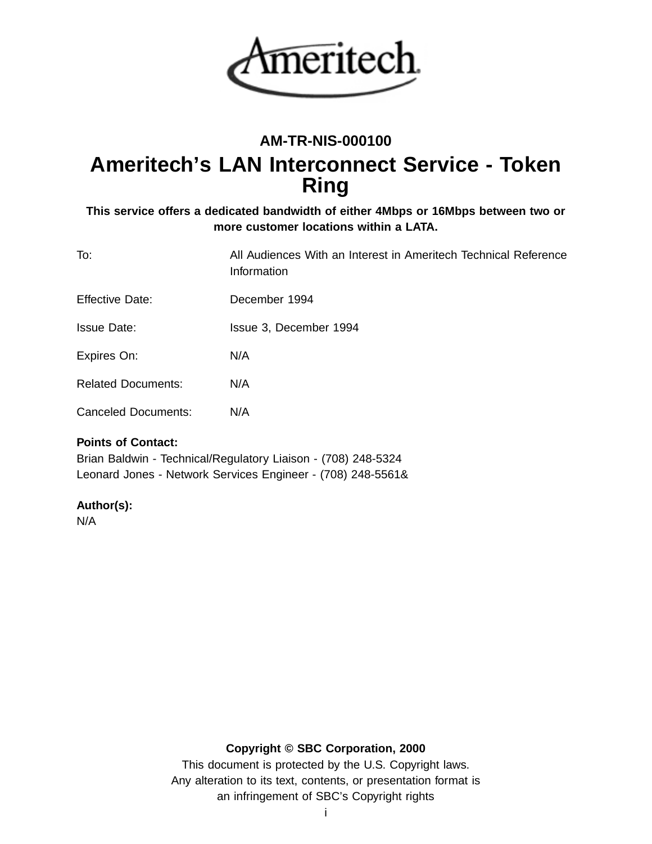

# **AM-TR-NIS-000100**

# **Ameritech's LAN Interconnect Service - Token Ring**

# **This service offers a dedicated bandwidth of either 4Mbps or 16Mbps between two or more customer locations within a LATA.**

| To:                       | All Audiences With an Interest in Ameritech Technical Reference<br>Information |
|---------------------------|--------------------------------------------------------------------------------|
| Effective Date:           | December 1994                                                                  |
| <b>Issue Date:</b>        | Issue 3, December 1994                                                         |
| Expires On:               | N/A                                                                            |
| <b>Related Documents:</b> | N/A                                                                            |
| Canceled Documents:       | N/A                                                                            |

# **Points of Contact:**

Brian Baldwin - Technical/Regulatory Liaison - (708) 248-5324 Leonard Jones - Network Services Engineer - (708) 248-5561&

#### **Author(s):**

N/A

# **Copyright © SBC Corporation, 2000**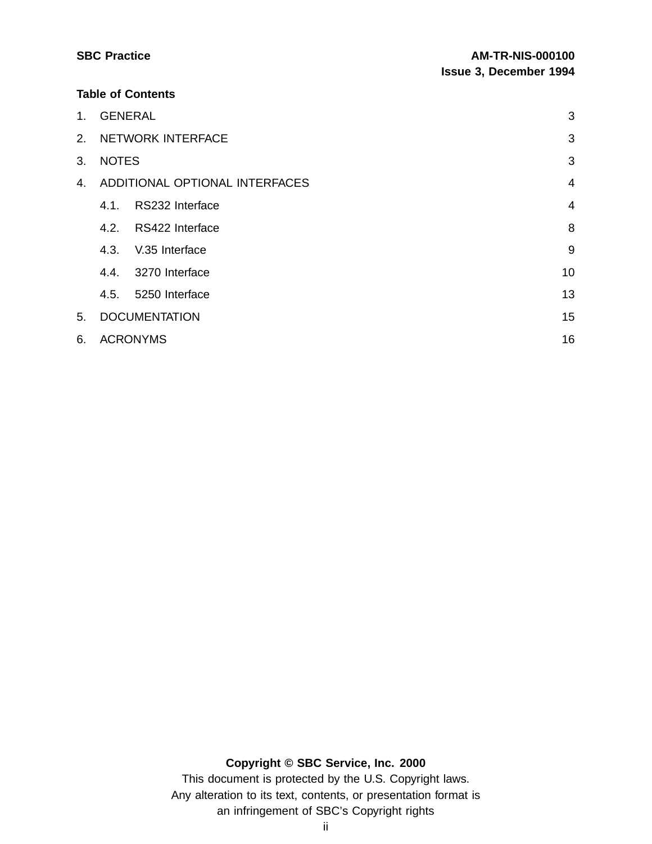#### **Table of Contents**

| 1. | <b>GENERAL</b> |                                | 3              |
|----|----------------|--------------------------------|----------------|
|    |                | 2. NETWORK INTERFACE           | 3              |
| 3. | <b>NOTES</b>   |                                | 3              |
| 4. |                | ADDITIONAL OPTIONAL INTERFACES | $\overline{4}$ |
|    | 4.1.           | RS232 Interface                | $\overline{4}$ |
|    | 4.2.           | RS422 Interface                | 8              |
|    | 4.3.           | V.35 Interface                 | 9              |
|    | 4.4.           | 3270 Interface                 | 10             |
|    | 4.5.           | 5250 Interface                 | 13             |
| 5. |                | <b>DOCUMENTATION</b>           | 15             |
| 6. |                | <b>ACRONYMS</b>                | 16             |

# **Copyright © SBC Service, Inc. 2000**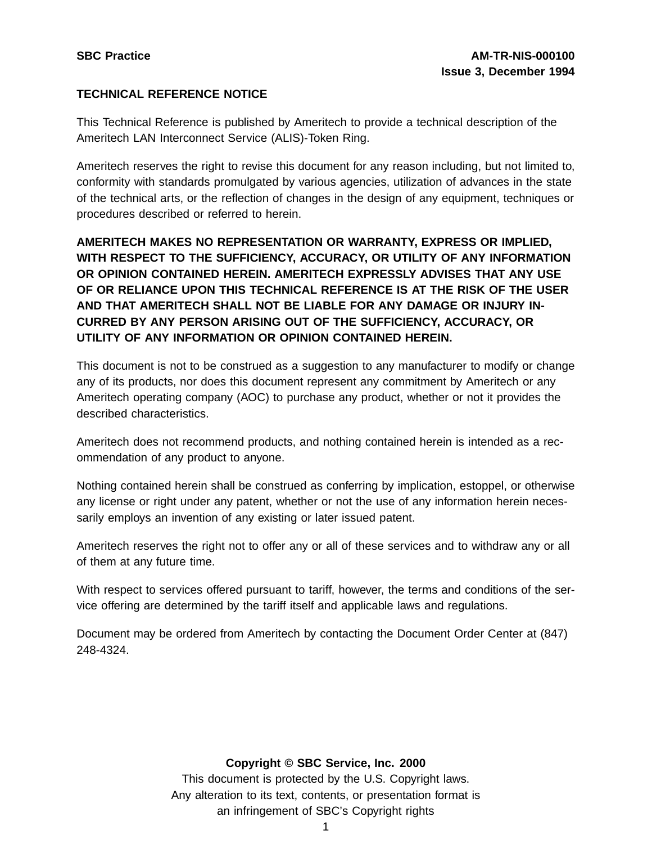#### **TECHNICAL REFERENCE NOTICE**

This Technical Reference is published by Ameritech to provide a technical description of the Ameritech LAN Interconnect Service (ALIS)-Token Ring.

Ameritech reserves the right to revise this document for any reason including, but not limited to, conformity with standards promulgated by various agencies, utilization of advances in the state of the technical arts, or the reflection of changes in the design of any equipment, techniques or procedures described or referred to herein.

**AMERITECH MAKES NO REPRESENTATION OR WARRANTY, EXPRESS OR IMPLIED, WITH RESPECT TO THE SUFFICIENCY, ACCURACY, OR UTILITY OF ANY INFORMATION OR OPINION CONTAINED HEREIN. AMERITECH EXPRESSLY ADVISES THAT ANY USE OF OR RELIANCE UPON THIS TECHNICAL REFERENCE IS AT THE RISK OF THE USER AND THAT AMERITECH SHALL NOT BE LIABLE FOR ANY DAMAGE OR INJURY IN-CURRED BY ANY PERSON ARISING OUT OF THE SUFFICIENCY, ACCURACY, OR UTILITY OF ANY INFORMATION OR OPINION CONTAINED HEREIN.**

This document is not to be construed as a suggestion to any manufacturer to modify or change any of its products, nor does this document represent any commitment by Ameritech or any Ameritech operating company (AOC) to purchase any product, whether or not it provides the described characteristics.

Ameritech does not recommend products, and nothing contained herein is intended as a recommendation of any product to anyone.

Nothing contained herein shall be construed as conferring by implication, estoppel, or otherwise any license or right under any patent, whether or not the use of any information herein necessarily employs an invention of any existing or later issued patent.

Ameritech reserves the right not to offer any or all of these services and to withdraw any or all of them at any future time.

With respect to services offered pursuant to tariff, however, the terms and conditions of the service offering are determined by the tariff itself and applicable laws and regulations.

Document may be ordered from Ameritech by contacting the Document Order Center at (847) 248-4324.

#### **Copyright © SBC Service, Inc. 2000**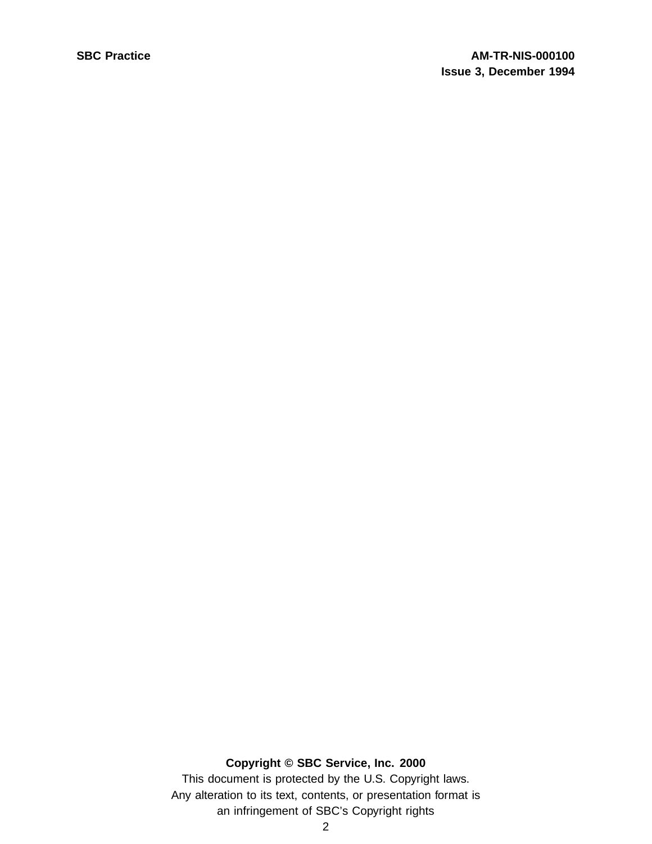# **Copyright © SBC Service, Inc. 2000**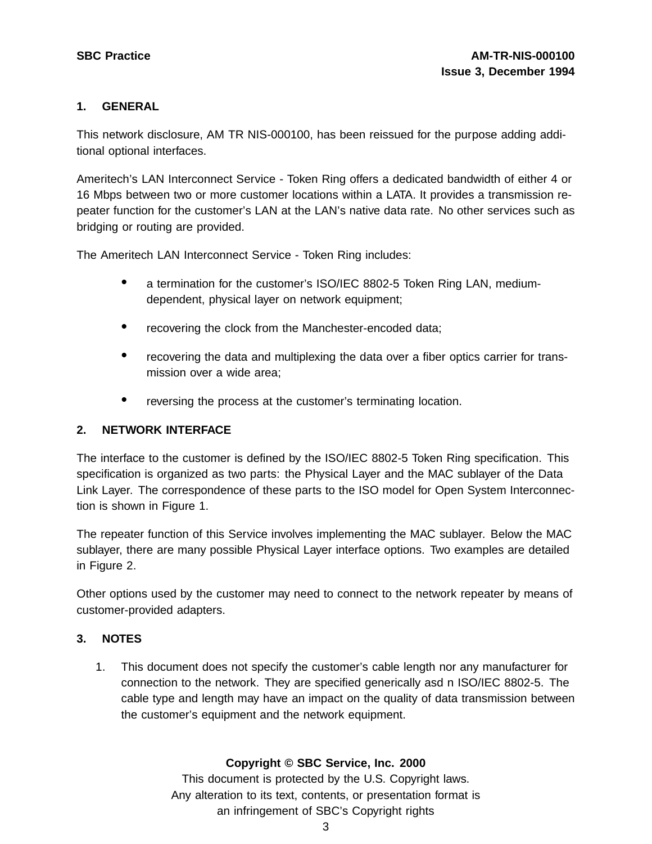#### **1. GENERAL**

This network disclosure, AM TR NIS-000100, has been reissued for the purpose adding additional optional interfaces.

Ameritech's LAN Interconnect Service - Token Ring offers a dedicated bandwidth of either 4 or 16 Mbps between two or more customer locations within a LATA. It provides a transmission repeater function for the customer's LAN at the LAN's native data rate. No other services such as bridging or routing are provided.

The Ameritech LAN Interconnect Service - Token Ring includes:

- a termination for the customer's ISO/IEC 8802-5 Token Ring LAN, mediumdependent, physical layer on network equipment;
- recovering the clock from the Manchester-encoded data;
- recovering the data and multiplexing the data over a fiber optics carrier for transmission over a wide area;
- reversing the process at the customer's terminating location.

#### **2. NETWORK INTERFACE**

The interface to the customer is defined by the ISO/IEC 8802-5 Token Ring specification. This specification is organized as two parts: the Physical Layer and the MAC sublayer of the Data Link Layer. The correspondence of these parts to the ISO model for Open System Interconnection is shown in Figure 1.

The repeater function of this Service involves implementing the MAC sublayer. Below the MAC sublayer, there are many possible Physical Layer interface options. Two examples are detailed in Figure 2.

Other options used by the customer may need to connect to the network repeater by means of customer-provided adapters.

#### **3. NOTES**

1. This document does not specify the customer's cable length nor any manufacturer for connection to the network. They are specified generically asd n ISO/IEC 8802-5. The cable type and length may have an impact on the quality of data transmission between the customer's equipment and the network equipment.

# **Copyright © SBC Service, Inc. 2000**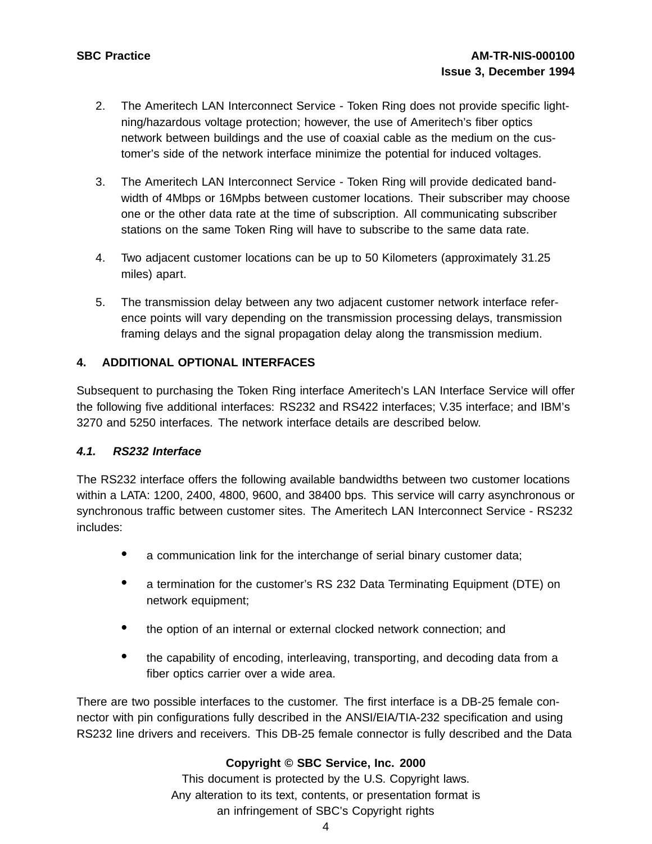- 2. The Ameritech LAN Interconnect Service Token Ring does not provide specific lightning/hazardous voltage protection; however, the use of Ameritech's fiber optics network between buildings and the use of coaxial cable as the medium on the customer's side of the network interface minimize the potential for induced voltages.
- 3. The Ameritech LAN Interconnect Service Token Ring will provide dedicated bandwidth of 4Mbps or 16Mpbs between customer locations. Their subscriber may choose one or the other data rate at the time of subscription. All communicating subscriber stations on the same Token Ring will have to subscribe to the same data rate.
- 4. Two adjacent customer locations can be up to 50 Kilometers (approximately 31.25 miles) apart.
- 5. The transmission delay between any two adjacent customer network interface reference points will vary depending on the transmission processing delays, transmission framing delays and the signal propagation delay along the transmission medium.

# **4. ADDITIONAL OPTIONAL INTERFACES**

Subsequent to purchasing the Token Ring interface Ameritech's LAN Interface Service will offer the following five additional interfaces: RS232 and RS422 interfaces; V.35 interface; and IBM's 3270 and 5250 interfaces. The network interface details are described below.

# **4.1. RS232 Interface**

The RS232 interface offers the following available bandwidths between two customer locations within a LATA: 1200, 2400, 4800, 9600, and 38400 bps. This service will carry asynchronous or synchronous traffic between customer sites. The Ameritech LAN Interconnect Service - RS232 includes:

- a communication link for the interchange of serial binary customer data;
- <sup>a</sup> termination for the customer's RS <sup>232</sup> Data Terminating Equipment (DTE) on network equipment;
- the option of an internal or external clocked network connection; and
- the capability of encoding, interleaving, transporting, and decoding data from <sup>a</sup> fiber optics carrier over a wide area.

There are two possible interfaces to the customer. The first interface is a DB-25 female connector with pin configurations fully described in the ANSI/EIA/TIA-232 specification and using RS232 line drivers and receivers. This DB-25 female connector is fully described and the Data

# **Copyright © SBC Service, Inc. 2000**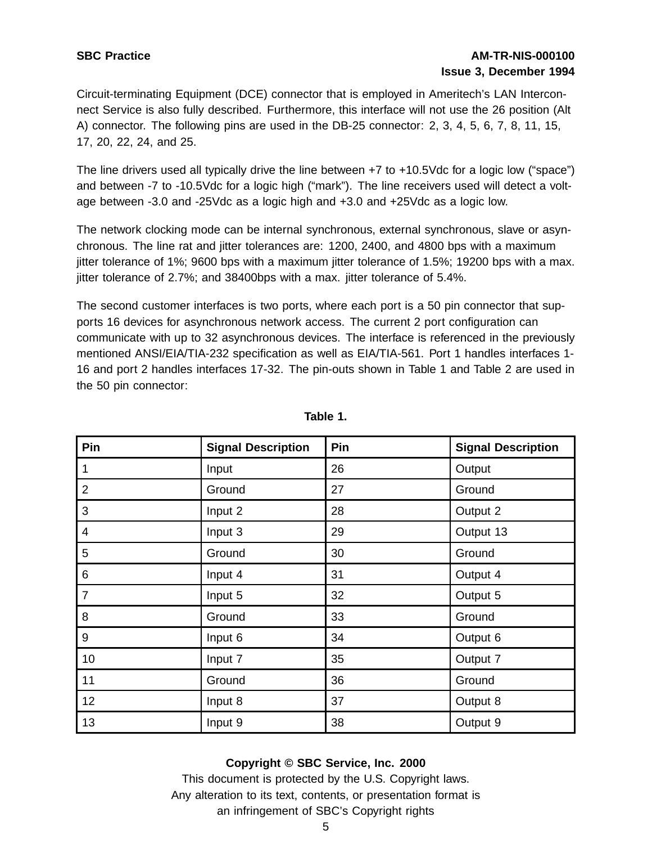Circuit-terminating Equipment (DCE) connector that is employed in Ameritech's LAN Interconnect Service is also fully described. Furthermore, this interface will not use the 26 position (Alt A) connector. The following pins are used in the DB-25 connector: 2, 3, 4, 5, 6, 7, 8, 11, 15, 17, 20, 22, 24, and 25.

The line drivers used all typically drive the line between +7 to +10.5Vdc for a logic low ("space") and between -7 to -10.5Vdc for a logic high ("mark"). The line receivers used will detect a voltage between -3.0 and -25Vdc as a logic high and +3.0 and +25Vdc as a logic low.

The network clocking mode can be internal synchronous, external synchronous, slave or asynchronous. The line rat and jitter tolerances are: 1200, 2400, and 4800 bps with a maximum jitter tolerance of 1%; 9600 bps with a maximum jitter tolerance of 1.5%; 19200 bps with a max. jitter tolerance of 2.7%; and 38400bps with a max. jitter tolerance of 5.4%.

The second customer interfaces is two ports, where each port is a 50 pin connector that supports 16 devices for asynchronous network access. The current 2 port configuration can communicate with up to 32 asynchronous devices. The interface is referenced in the previously mentioned ANSI/EIA/TIA-232 specification as well as EIA/TIA-561. Port 1 handles interfaces 1- 16 and port 2 handles interfaces 17-32. The pin-outs shown in Table 1 and Table 2 are used in the 50 pin connector:

| Pin                     | <b>Signal Description</b> | Pin | <b>Signal Description</b> |
|-------------------------|---------------------------|-----|---------------------------|
| 1                       | Input                     | 26  | Output                    |
| $\overline{2}$          | Ground                    | 27  | Ground                    |
| 3                       | Input 2                   | 28  | Output 2                  |
| $\overline{\mathbf{4}}$ | Input 3                   | 29  | Output 13                 |
| 5                       | Ground                    | 30  | Ground                    |
| 6                       | Input 4                   | 31  | Output 4                  |
| $\overline{7}$          | Input 5                   | 32  | Output 5                  |
| 8                       | Ground                    | 33  | Ground                    |
| 9                       | Input 6                   | 34  | Output 6                  |
| 10                      | Input 7                   | 35  | Output 7                  |
| 11                      | Ground                    | 36  | Ground                    |
| 12                      | Input 8                   | 37  | Output 8                  |
| 13                      | Input 9                   | 38  | Output 9                  |

**Table 1.**

#### **Copyright © SBC Service, Inc. 2000**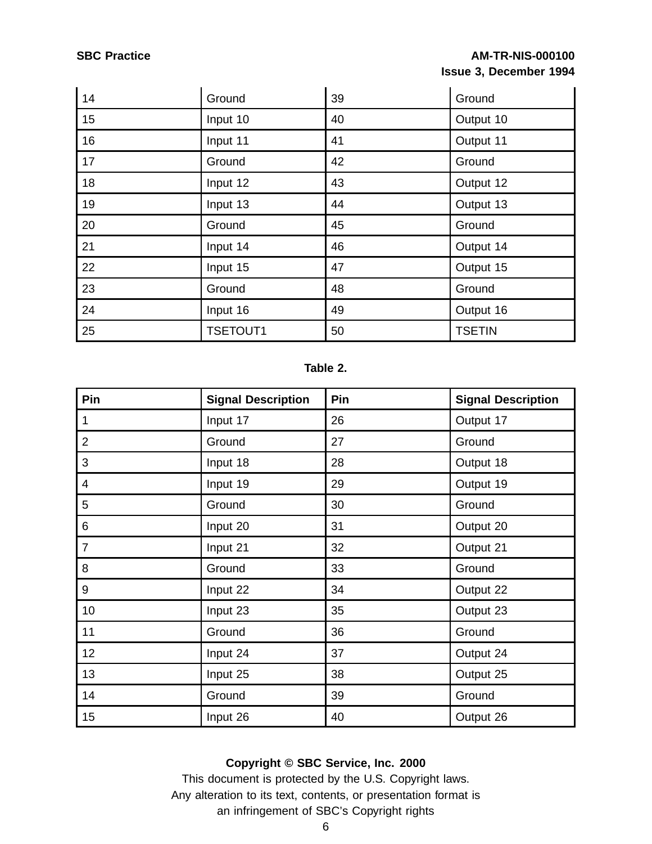| 14 | Ground          | 39 | Ground        |
|----|-----------------|----|---------------|
| 15 | Input 10        | 40 | Output 10     |
| 16 | Input 11        | 41 | Output 11     |
| 17 | Ground          | 42 | Ground        |
| 18 | Input 12        | 43 | Output 12     |
| 19 | Input 13        | 44 | Output 13     |
| 20 | Ground          | 45 | Ground        |
| 21 | Input 14        | 46 | Output 14     |
| 22 | Input 15        | 47 | Output 15     |
| 23 | Ground          | 48 | Ground        |
| 24 | Input 16        | 49 | Output 16     |
| 25 | <b>TSETOUT1</b> | 50 | <b>TSETIN</b> |

# **Table 2.**

| Pin            | <b>Signal Description</b> | Pin | <b>Signal Description</b> |
|----------------|---------------------------|-----|---------------------------|
| 1              | Input 17                  | 26  | Output 17                 |
| $\overline{2}$ | Ground                    | 27  | Ground                    |
| 3              | Input 18                  | 28  | Output 18                 |
| 4              | Input 19                  | 29  | Output 19                 |
| 5              | Ground                    | 30  | Ground                    |
| 6              | Input 20                  | 31  | Output 20                 |
| $\overline{7}$ | Input 21                  | 32  | Output 21                 |
| 8              | Ground                    | 33  | Ground                    |
| 9              | Input 22                  | 34  | Output 22                 |
| 10             | Input 23                  | 35  | Output 23                 |
| 11             | Ground                    | 36  | Ground                    |
| 12             | Input 24                  | 37  | Output 24                 |
| 13             | Input 25                  | 38  | Output 25                 |
| 14             | Ground                    | 39  | Ground                    |
| 15             | Input 26                  | 40  | Output 26                 |

# **Copyright © SBC Service, Inc. 2000**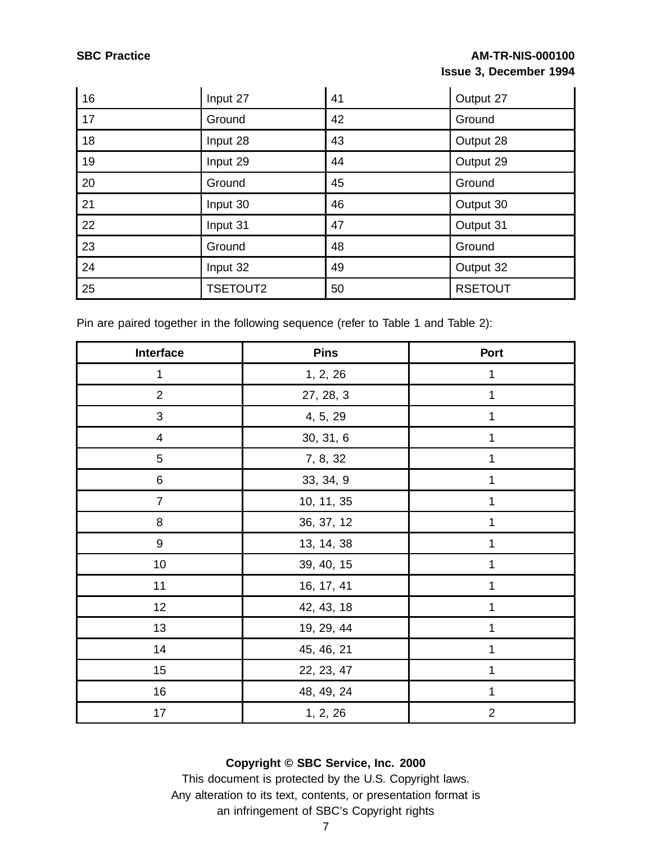| 16 | Input 27        | 41 | Output 27      |
|----|-----------------|----|----------------|
| 17 | Ground          | 42 | Ground         |
| 18 | Input 28        | 43 | Output 28      |
| 19 | Input 29        | 44 | Output 29      |
| 20 | Ground          | 45 | Ground         |
| 21 | Input 30        | 46 | Output 30      |
| 22 | Input 31        | 47 | Output 31      |
| 23 | Ground          | 48 | Ground         |
| 24 | Input 32        | 49 | Output 32      |
| 25 | <b>TSETOUT2</b> | 50 | <b>RSETOUT</b> |

Pin are paired together in the following sequence (refer to Table 1 and Table 2):

| Interface               | <b>Pins</b> | Port           |
|-------------------------|-------------|----------------|
| $\mathbf{1}$            | 1, 2, 26    | 1              |
| $\overline{2}$          | 27, 28, 3   | 1              |
| $\sqrt{3}$              | 4, 5, 29    | 1              |
| $\overline{\mathbf{4}}$ | 30, 31, 6   | $\mathbf 1$    |
| $\mathbf 5$             | 7, 8, 32    | $\mathbf 1$    |
| $\,6$                   | 33, 34, 9   | 1              |
| $\overline{7}$          | 10, 11, 35  | 1              |
| 8                       | 36, 37, 12  | 1              |
| $\boldsymbol{9}$        | 13, 14, 38  | 1              |
| 10                      | 39, 40, 15  | 1              |
| 11                      | 16, 17, 41  | 1              |
| 12                      | 42, 43, 18  | 1              |
| 13                      | 19, 29, 44  | 1              |
| 14                      | 45, 46, 21  | 1              |
| 15                      | 22, 23, 47  | 1              |
| 16                      | 48, 49, 24  | 1              |
| 17                      | 1, 2, 26    | $\overline{2}$ |

# **Copyright © SBC Service, Inc. 2000**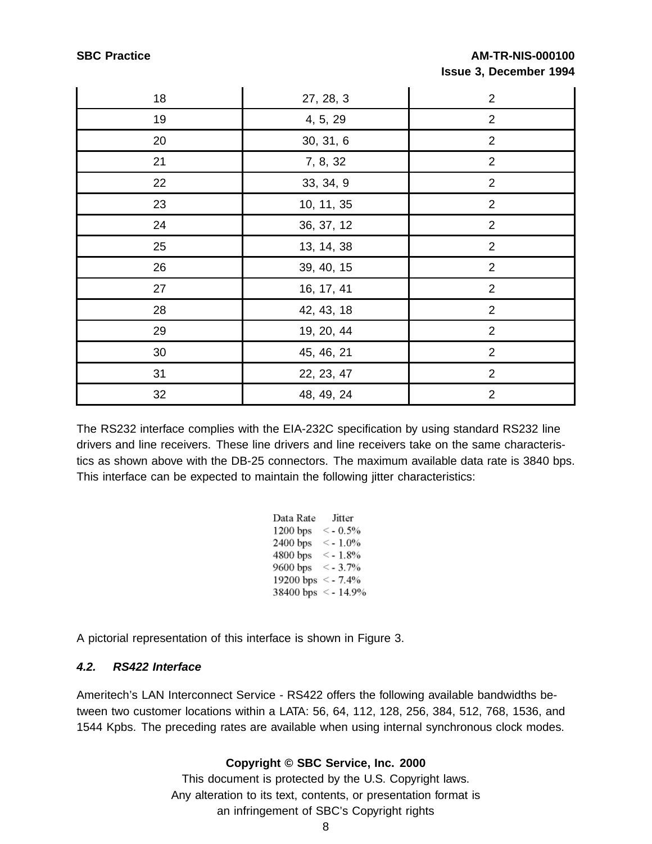| 18 | 27, 28, 3  | $\overline{2}$ |
|----|------------|----------------|
| 19 | 4, 5, 29   | $\overline{2}$ |
| 20 | 30, 31, 6  | $\overline{2}$ |
| 21 | 7, 8, 32   | $\overline{2}$ |
| 22 | 33, 34, 9  | $\overline{2}$ |
| 23 | 10, 11, 35 | $\overline{2}$ |
| 24 | 36, 37, 12 | $\overline{2}$ |
| 25 | 13, 14, 38 | $\overline{2}$ |
| 26 | 39, 40, 15 | $\overline{2}$ |
| 27 | 16, 17, 41 | $\mathbf{2}$   |
| 28 | 42, 43, 18 | $\overline{2}$ |
| 29 | 19, 20, 44 | $\overline{2}$ |
| 30 | 45, 46, 21 | $\overline{2}$ |
| 31 | 22, 23, 47 | $\overline{2}$ |
| 32 | 48, 49, 24 | $\overline{2}$ |

The RS232 interface complies with the EIA-232C specification by using standard RS232 line drivers and line receivers. These line drivers and line receivers take on the same characteristics as shown above with the DB-25 connectors. The maximum available data rate is 3840 bps. This interface can be expected to maintain the following jitter characteristics:

| Data Rate | Jitter          |
|-----------|-----------------|
| 1200 bps  | $\le$ - 0.5%    |
| 2400 bps  | $\le$ - $1.0\%$ |
| 4800 bps  | $\le$ - 1.8%    |
| 9600 bps  | $\leq$ - 3.7%   |
| 19200 bps | $<$ - 7.4%      |
| 38400 bps | <- 14.9%        |

A pictorial representation of this interface is shown in Figure 3.

#### **4.2. RS422 Interface**

Ameritech's LAN Interconnect Service - RS422 offers the following available bandwidths between two customer locations within a LATA: 56, 64, 112, 128, 256, 384, 512, 768, 1536, and 1544 Kpbs. The preceding rates are available when using internal synchronous clock modes.

#### **Copyright © SBC Service, Inc. 2000**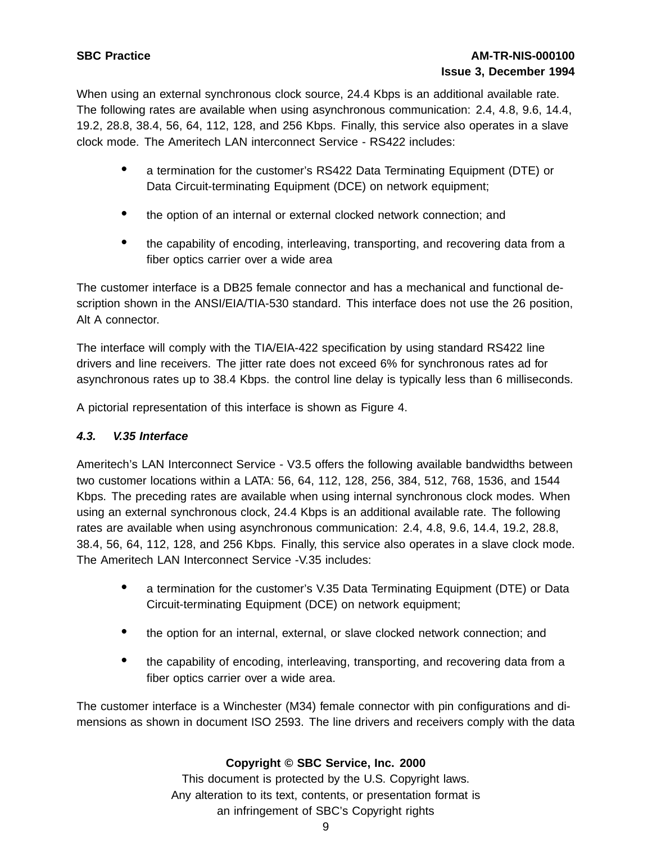When using an external synchronous clock source, 24.4 Kbps is an additional available rate. The following rates are available when using asynchronous communication: 2.4, 4.8, 9.6, 14.4, 19.2, 28.8, 38.4, 56, 64, 112, 128, and 256 Kbps. Finally, this service also operates in a slave clock mode. The Ameritech LAN interconnect Service - RS422 includes:

- <sup>a</sup> termination for the customer's RS422 Data Terminating Equipment (DTE) or Data Circuit-terminating Equipment (DCE) on network equipment;
- the option of an internal or external clocked network connection; and
- the capability of encoding, interleaving, transporting, and recovering data from <sup>a</sup> fiber optics carrier over a wide area

The customer interface is a DB25 female connector and has a mechanical and functional description shown in the ANSI/EIA/TIA-530 standard. This interface does not use the 26 position, Alt A connector.

The interface will comply with the TIA/EIA-422 specification by using standard RS422 line drivers and line receivers. The jitter rate does not exceed 6% for synchronous rates ad for asynchronous rates up to 38.4 Kbps. the control line delay is typically less than 6 milliseconds.

A pictorial representation of this interface is shown as Figure 4.

# **4.3. V.35 Interface**

Ameritech's LAN Interconnect Service - V3.5 offers the following available bandwidths between two customer locations within a LATA: 56, 64, 112, 128, 256, 384, 512, 768, 1536, and 1544 Kbps. The preceding rates are available when using internal synchronous clock modes. When using an external synchronous clock, 24.4 Kbps is an additional available rate. The following rates are available when using asynchronous communication: 2.4, 4.8, 9.6, 14.4, 19.2, 28.8, 38.4, 56, 64, 112, 128, and 256 Kbps. Finally, this service also operates in a slave clock mode. The Ameritech LAN Interconnect Service -V.35 includes:

- <sup>a</sup> termination for the customer's V.35 Data Terminating Equipment (DTE) or Data Circuit-terminating Equipment (DCE) on network equipment;
- the option for an internal, external, or slave clocked network connection; and
- the capability of encoding, interleaving, transporting, and recovering data from a fiber optics carrier over a wide area.

The customer interface is a Winchester (M34) female connector with pin configurations and dimensions as shown in document ISO 2593. The line drivers and receivers comply with the data

# **Copyright © SBC Service, Inc. 2000**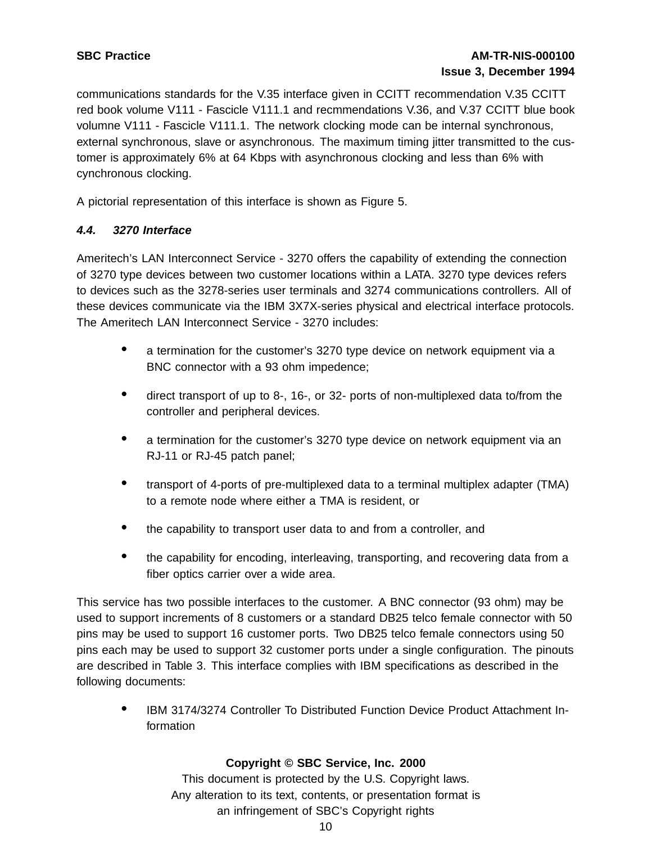communications standards for the V.35 interface given in CCITT recommendation V.35 CCITT red book volume V111 - Fascicle V111.1 and recmmendations V.36, and V.37 CCITT blue book volumne V111 - Fascicle V111.1. The network clocking mode can be internal synchronous, external synchronous, slave or asynchronous. The maximum timing jitter transmitted to the customer is approximately 6% at 64 Kbps with asynchronous clocking and less than 6% with cynchronous clocking.

A pictorial representation of this interface is shown as Figure 5.

#### **4.4. 3270 Interface**

Ameritech's LAN Interconnect Service - 3270 offers the capability of extending the connection of 3270 type devices between two customer locations within a LATA. 3270 type devices refers to devices such as the 3278-series user terminals and 3274 communications controllers. All of these devices communicate via the IBM 3X7X-series physical and electrical interface protocols. The Ameritech LAN Interconnect Service - 3270 includes:

- <sup>a</sup> termination for the customer's <sup>3270</sup> type device on network equipment via <sup>a</sup> BNC connector with a 93 ohm impedence;
- direct transport of up to 8-, 16-, or 32- ports of non-multiplexed data to/from the controller and peripheral devices.
- a termination for the customer's 3270 type device on network equipment via an RJ-11 or RJ-45 patch panel;
- transport of 4-ports of pre-multiplexed data to <sup>a</sup> terminal multiplex adapter (TMA) to a remote node where either a TMA is resident, or
- the capability to transport user data to and from a controller, and
- the capability for encoding, interleaving, transporting, and recovering data from <sup>a</sup> fiber optics carrier over a wide area.

This service has two possible interfaces to the customer. A BNC connector (93 ohm) may be used to support increments of 8 customers or a standard DB25 telco female connector with 50 pins may be used to support 16 customer ports. Two DB25 telco female connectors using 50 pins each may be used to support 32 customer ports under a single configuration. The pinouts are described in Table 3. This interface complies with IBM specifications as described in the following documents:

• IBM 3174/3274 Controller To Distributed Function Device Product Attachment Information

# **Copyright © SBC Service, Inc. 2000**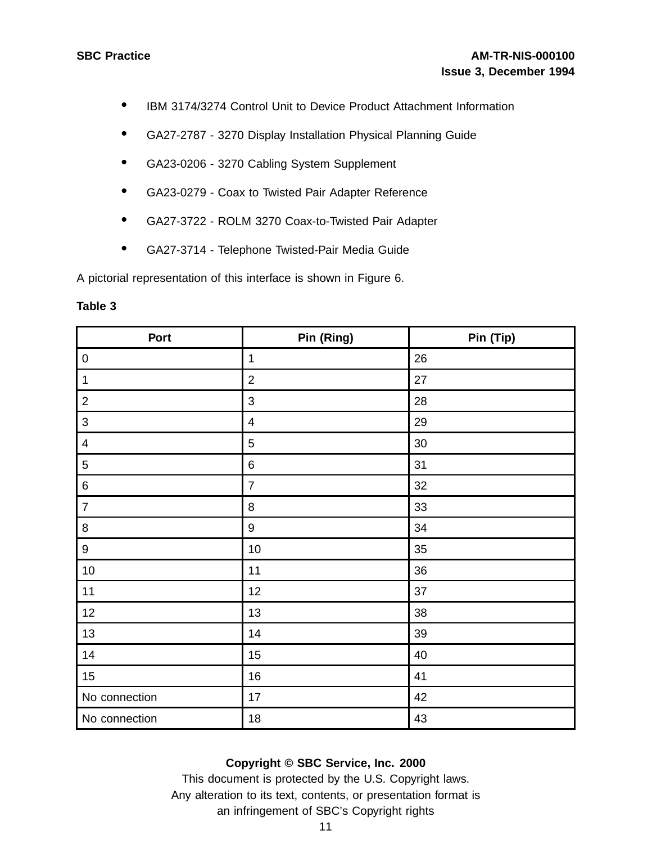- IBM 3174/3274 Control Unit to Device Product Attachment Information
- GA27-2787 <sup>3270</sup> Display Installation Physical Planning Guide
- GA23-0206 <sup>3270</sup> Cabling System Supplement
- GA23-0279 Coax to Twisted Pair Adapter Reference
- GA27-3722 ROLM <sup>3270</sup> Coax-to-Twisted Pair Adapter
- GA27-3714 Telephone Twisted-Pair Media Guide

A pictorial representation of this interface is shown in Figure 6.

#### **Table 3**

| Port                     | Pin (Ring)              | Pin (Tip) |
|--------------------------|-------------------------|-----------|
| $\pmb{0}$                | $\mathbf 1$             | 26        |
| $\mathbf{1}$             | $\overline{2}$          | 27        |
| $\mathbf{2}$             | $\mathfrak{B}$          | 28        |
| $\sqrt{3}$               | $\overline{\mathbf{4}}$ | 29        |
| $\overline{\mathcal{A}}$ | $\mathbf 5$             | 30        |
| $\sqrt{5}$               | 6                       | 31        |
| $\,6\,$                  | $\overline{7}$          | 32        |
| $\overline{7}$           | 8                       | 33        |
| $\, 8$                   | $\boldsymbol{9}$        | 34        |
| $\boldsymbol{9}$         | $10$                    | 35        |
| $10$                     | 11                      | 36        |
| 11                       | 12                      | 37        |
| 12                       | 13                      | 38        |
| 13                       | 14                      | 39        |
| 14                       | 15                      | 40        |
| 15                       | 16                      | 41        |
| No connection            | 17                      | 42        |
| No connection            | 18                      | 43        |

#### **Copyright © SBC Service, Inc. 2000**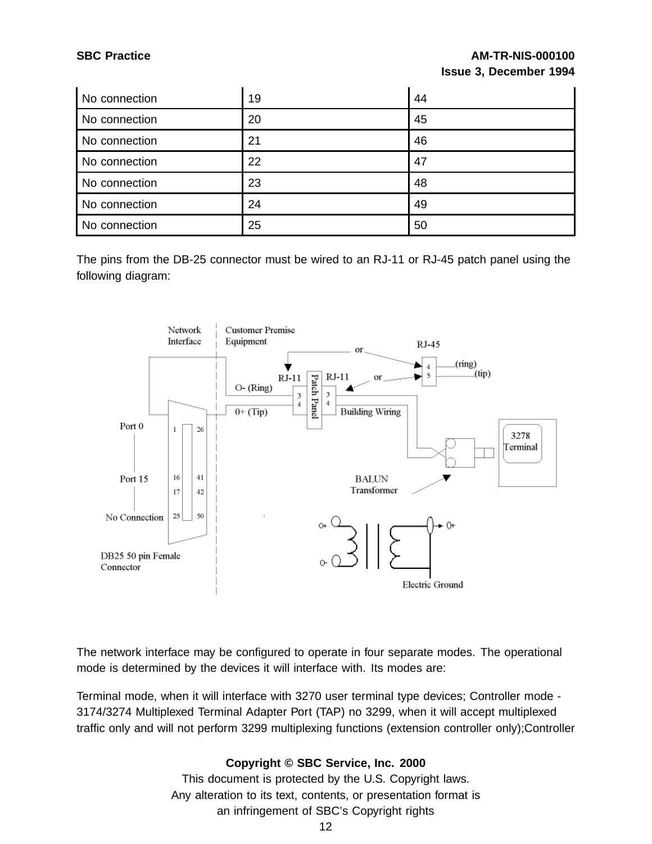| No connection | 19 | 44 |
|---------------|----|----|
| No connection | 20 | 45 |
| No connection | 21 | 46 |
| No connection | 22 | 47 |
| No connection | 23 | 48 |
| No connection | 24 | 49 |
| No connection | 25 | 50 |

The pins from the DB-25 connector must be wired to an RJ-11 or RJ-45 patch panel using the following diagram:



The network interface may be configured to operate in four separate modes. The operational mode is determined by the devices it will interface with. Its modes are:

Terminal mode, when it will interface with 3270 user terminal type devices; Controller mode - 3174/3274 Multiplexed Terminal Adapter Port (TAP) no 3299, when it will accept multiplexed traffic only and will not perform 3299 multiplexing functions (extension controller only);Controller

# **Copyright © SBC Service, Inc. 2000**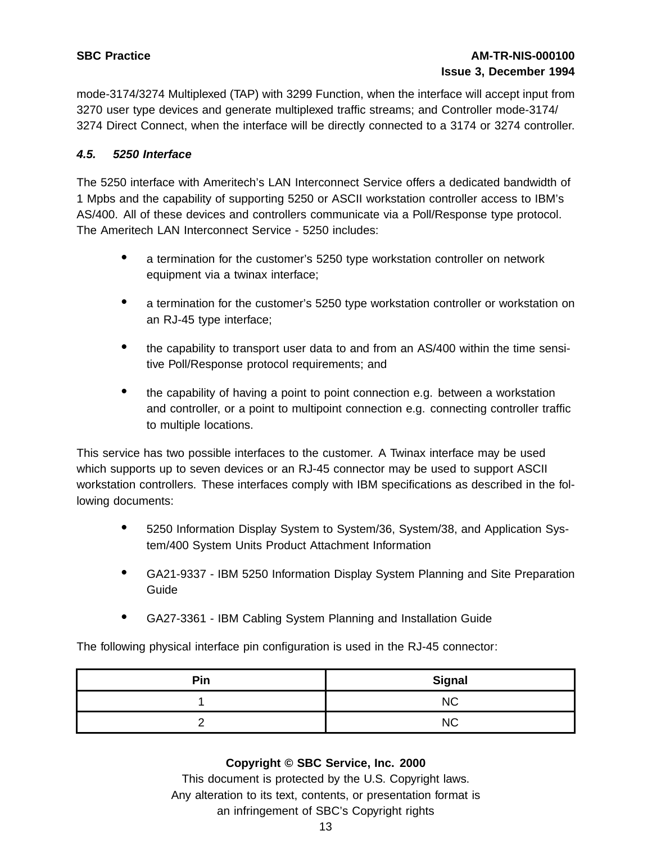mode-3174/3274 Multiplexed (TAP) with 3299 Function, when the interface will accept input from 3270 user type devices and generate multiplexed traffic streams; and Controller mode-3174/ 3274 Direct Connect, when the interface will be directly connected to a 3174 or 3274 controller.

#### **4.5. 5250 Interface**

The 5250 interface with Ameritech's LAN Interconnect Service offers a dedicated bandwidth of 1 Mpbs and the capability of supporting 5250 or ASCII workstation controller access to IBM's AS/400. All of these devices and controllers communicate via a Poll/Response type protocol. The Ameritech LAN Interconnect Service - 5250 includes:

- a termination for the customer's 5250 type workstation controller on network equipment via a twinax interface;
- a termination for the customer's 5250 type workstation controller or workstation on an RJ-45 type interface;
- the capability to transport user data to and from an AS/400 within the time sensitive Poll/Response protocol requirements; and
- the capability of having a point to point connection e.g. between a workstation and controller, or a point to multipoint connection e.g. connecting controller traffic to multiple locations.

This service has two possible interfaces to the customer. A Twinax interface may be used which supports up to seven devices or an RJ-45 connector may be used to support ASCII workstation controllers. These interfaces comply with IBM specifications as described in the following documents:

- <sup>5250</sup> Information Display System to System/36, System/38, and Application System/400 System Units Product Attachment Information
- GA21-9337 IBM <sup>5250</sup> Information Display System Planning and Site Preparation Guide
- GA27-3361 IBM Cabling System Planning and Installation Guide

The following physical interface pin configuration is used in the RJ-45 connector:

| Pin | <b>Signal</b> |  |
|-----|---------------|--|
|     | ΝC            |  |
|     | ΝC            |  |

# **Copyright © SBC Service, Inc. 2000**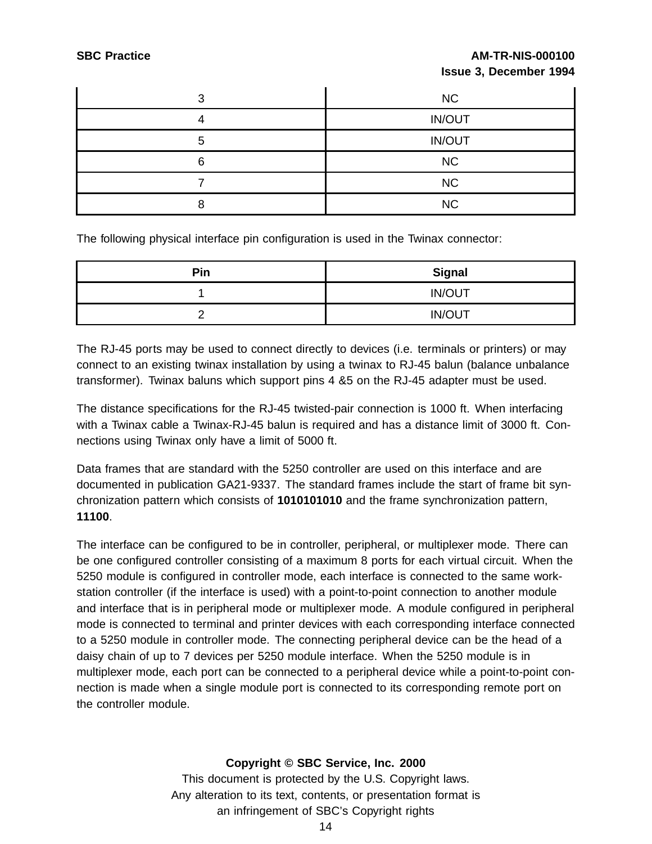| റ | <b>NC</b>     |
|---|---------------|
|   | <b>IN/OUT</b> |
| 5 | <b>IN/OUT</b> |
| 6 | <b>NC</b>     |
|   | NC            |
| Ω | <b>NC</b>     |

The following physical interface pin configuration is used in the Twinax connector:

| Pin    | <b>Signal</b> |
|--------|---------------|
|        | <b>IN/OUT</b> |
| r<br>_ | <b>IN/OUT</b> |

The RJ-45 ports may be used to connect directly to devices (i.e. terminals or printers) or may connect to an existing twinax installation by using a twinax to RJ-45 balun (balance unbalance transformer). Twinax baluns which support pins 4 &5 on the RJ-45 adapter must be used.

The distance specifications for the RJ-45 twisted-pair connection is 1000 ft. When interfacing with a Twinax cable a Twinax-RJ-45 balun is required and has a distance limit of 3000 ft. Connections using Twinax only have a limit of 5000 ft.

Data frames that are standard with the 5250 controller are used on this interface and are documented in publication GA21-9337. The standard frames include the start of frame bit synchronization pattern which consists of **1010101010** and the frame synchronization pattern, **11100**.

The interface can be configured to be in controller, peripheral, or multiplexer mode. There can be one configured controller consisting of a maximum 8 ports for each virtual circuit. When the 5250 module is configured in controller mode, each interface is connected to the same workstation controller (if the interface is used) with a point-to-point connection to another module and interface that is in peripheral mode or multiplexer mode. A module configured in peripheral mode is connected to terminal and printer devices with each corresponding interface connected to a 5250 module in controller mode. The connecting peripheral device can be the head of a daisy chain of up to 7 devices per 5250 module interface. When the 5250 module is in multiplexer mode, each port can be connected to a peripheral device while a point-to-point connection is made when a single module port is connected to its corresponding remote port on the controller module.

#### **Copyright © SBC Service, Inc. 2000**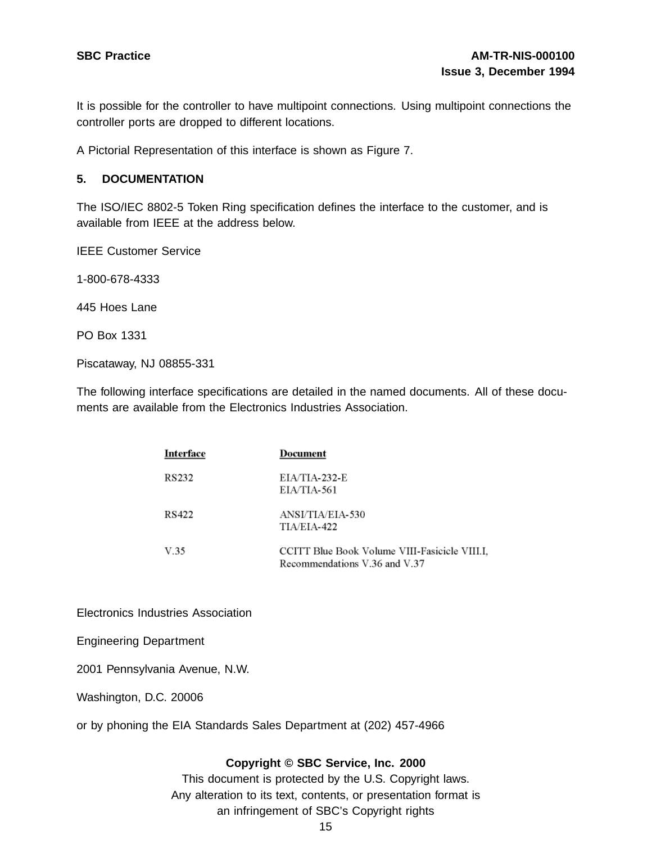It is possible for the controller to have multipoint connections. Using multipoint connections the controller ports are dropped to different locations.

A Pictorial Representation of this interface is shown as Figure 7.

#### **5. DOCUMENTATION**

The ISO/IEC 8802-5 Token Ring specification defines the interface to the customer, and is available from IEEE at the address below.

IEEE Customer Service

1-800-678-4333

445 Hoes Lane

PO Box 1331

Piscataway, NJ 08855-331

The following interface specifications are detailed in the named documents. All of these documents are available from the Electronics Industries Association.

| Interface | Document                                                                       |
|-----------|--------------------------------------------------------------------------------|
| RS232     | EIA/TIA-232-E<br>EIA/TIA-561                                                   |
| RS422     | ANSI/TIA/EIA-530<br>TIA/EIA-422                                                |
| V.35      | CCITT Blue Book Volume VIII-Fasicicle VIII.I,<br>Recommendations V.36 and V.37 |

Electronics Industries Association

Engineering Department

2001 Pennsylvania Avenue, N.W.

Washington, D.C. 20006

or by phoning the EIA Standards Sales Department at (202) 457-4966

#### **Copyright © SBC Service, Inc. 2000**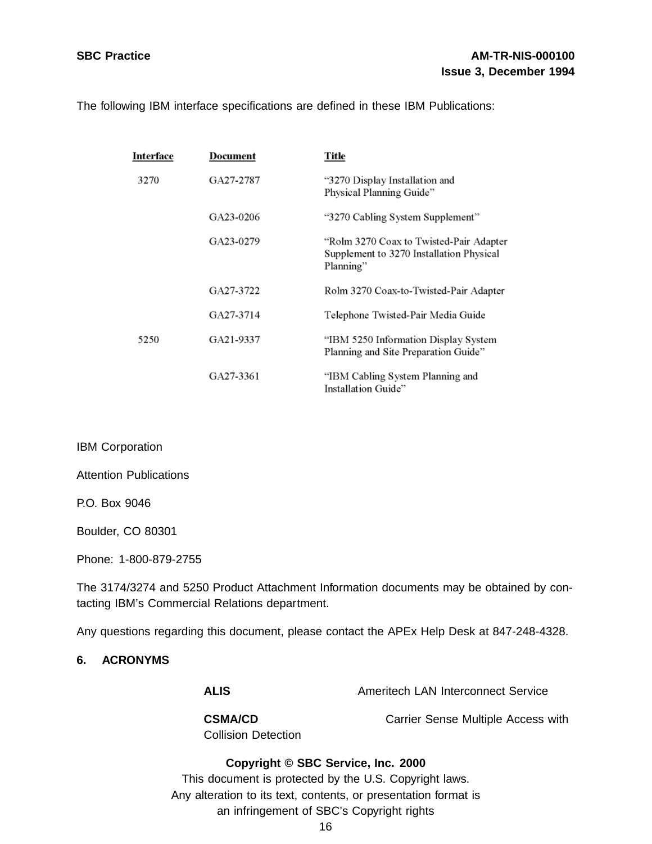The following IBM interface specifications are defined in these IBM Publications:

| Interface | Document  | Title                                                                                            |
|-----------|-----------|--------------------------------------------------------------------------------------------------|
| 3270      | GA27-2787 | "3270 Display Installation and<br>Physical Planning Guide"                                       |
|           | GA23-0206 | "3270 Cabling System Supplement"                                                                 |
|           | GA23-0279 | "Rolm 3270 Coax to Twisted-Pair Adapter<br>Supplement to 3270 Installation Physical<br>Planning" |
|           | GA27-3722 | Rolm 3270 Coax-to-Twisted-Pair Adapter                                                           |
|           | GA27-3714 | Telephone Twisted-Pair Media Guide                                                               |
| 5250      | GA21-9337 | "IBM 5250 Information Display System<br>Planning and Site Preparation Guide"                     |
|           | GA27-3361 | "IBM Cabling System Planning and<br>Installation Guide"                                          |

IBM Corporation

Attention Publications

P.O. Box 9046

Boulder, CO 80301

Phone: 1-800-879-2755

The 3174/3274 and 5250 Product Attachment Information documents may be obtained by contacting IBM's Commercial Relations department.

Any questions regarding this document, please contact the APEx Help Desk at 847-248-4328.

#### **6. ACRONYMS**

ALIS **ALIS** Ameritech LAN Interconnect Service

Collision Detection

**CSMA/CD CARCE CARGISTS** Carrier Sense Multiple Access with

# **Copyright © SBC Service, Inc. 2000**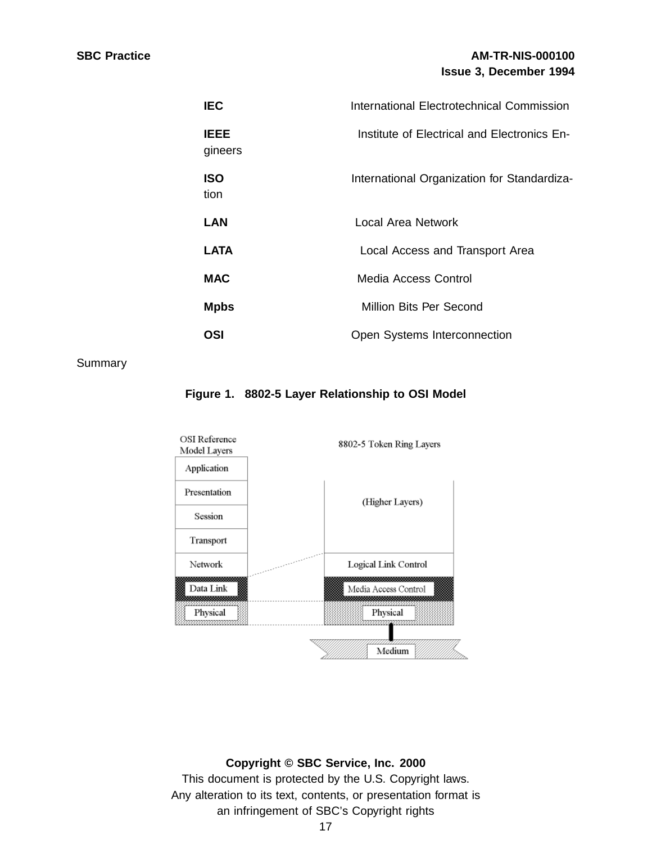| <b>IEC</b>             | International Electrotechnical Commission   |
|------------------------|---------------------------------------------|
| <b>IEEE</b><br>gineers | Institute of Electrical and Electronics En- |
| <b>ISO</b><br>tion     | International Organization for Standardiza- |
| <b>LAN</b>             | Local Area Network                          |
| LATA                   | Local Access and Transport Area             |
| <b>MAC</b>             | Media Access Control                        |
| <b>Mpbs</b>            | <b>Million Bits Per Second</b>              |
| OSI                    | Open Systems Interconnection                |

Summary

| Figure 1. 8802-5 Layer Relationship to OSI Model |  |  |
|--------------------------------------------------|--|--|
|                                                  |  |  |



#### **Copyright © SBC Service, Inc. 2000**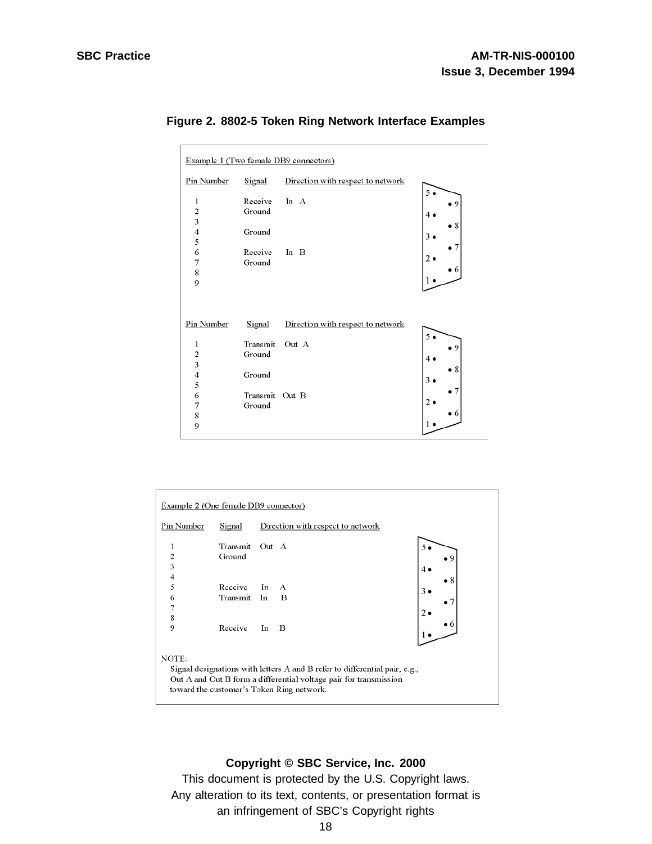|                                                                                              |                                                                    | Example 1 (Two female DB9 connectors)      |         |
|----------------------------------------------------------------------------------------------|--------------------------------------------------------------------|--------------------------------------------|---------|
| Pin Number                                                                                   | Signal                                                             | Direction with respect to network          |         |
| 1<br>$2\overline{3}$<br>$4\overline{5}$<br>$6$<br>$\begin{array}{c} 7 \\ 8 \\ 9 \end{array}$ | Receive<br>Ground<br>Ground<br>Receive<br>Ground                   | In A<br>In $B$                             | 8<br>3  |
| Pin Number<br>1<br>$\frac{2}{3}$<br>456789                                                   | Signal<br>Transmit<br>Ground<br>Ground<br>Transmit Out B<br>Ground | Direction with respect to network<br>Out A | 8<br>3, |

#### **Figure 2. 8802-5 Token Ring Network Interface Examples**

| Example 2 (One female DB9 connector)                                                                                                                                                                  |                     |          |                                   |                                 |
|-------------------------------------------------------------------------------------------------------------------------------------------------------------------------------------------------------|---------------------|----------|-----------------------------------|---------------------------------|
| Pin Number                                                                                                                                                                                            | Signal              |          | Direction with respect to network |                                 |
| $\overline{2}$<br>3<br>4                                                                                                                                                                              | Transmit<br>Ground  | Out A    |                                   |                                 |
| 5<br>6<br>7                                                                                                                                                                                           | Receive<br>Transmit | In<br>In | А<br>B                            | $\bullet$ 8<br>$3 \bullet$<br>7 |
| 8<br>9                                                                                                                                                                                                | Receive             | In       | B                                 |                                 |
| NOTE:<br>Signal designations with letters A and B refer to differential pair, e.g.,<br>Out A and Out B form a differential voltage pair for transmission<br>toward the customer's Token Ring network. |                     |          |                                   |                                 |

#### **Copyright © SBC Service, Inc. 2000**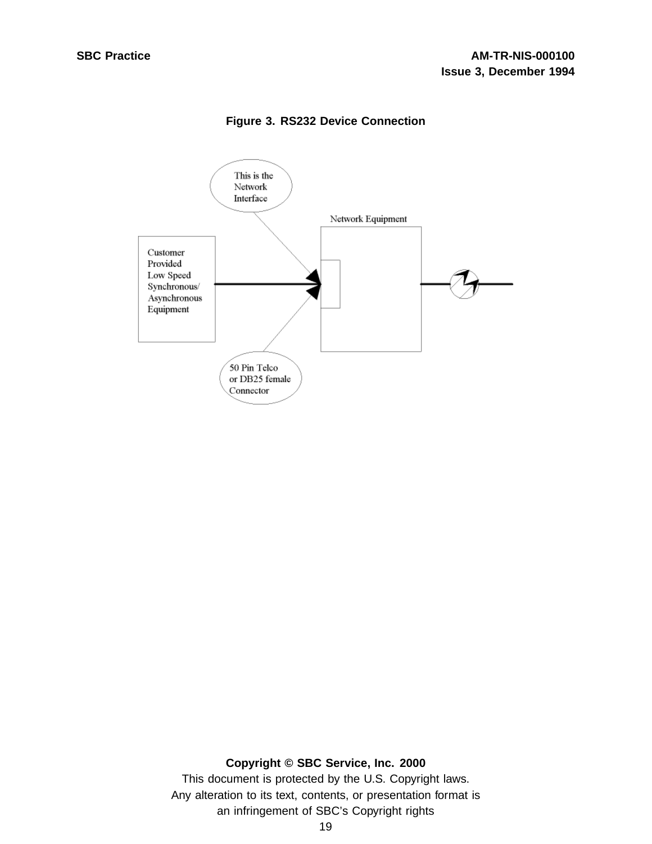

**Figure 3. RS232 Device Connection**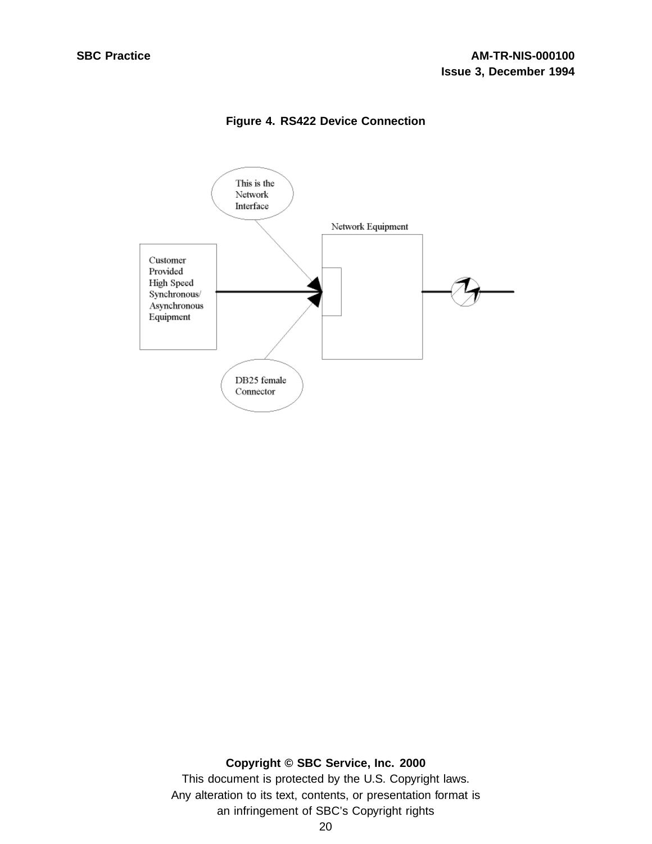

**Figure 4. RS422 Device Connection**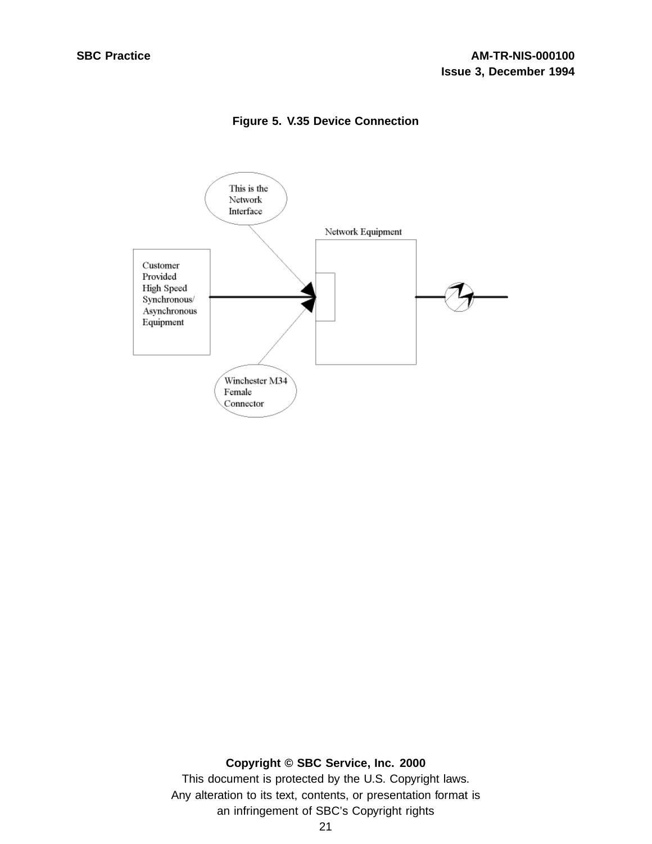

**Figure 5. V.35 Device Connection**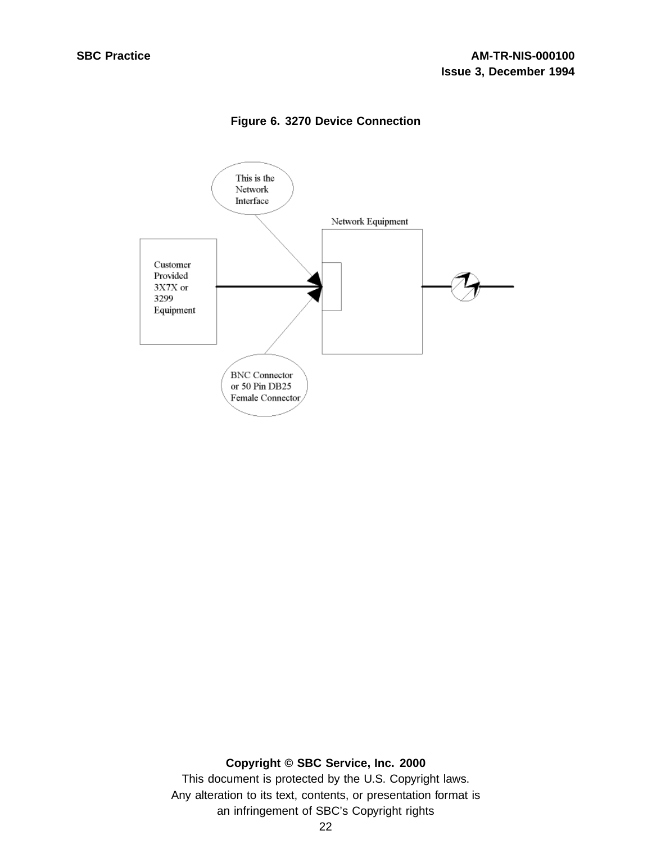

**Figure 6. 3270 Device Connection**